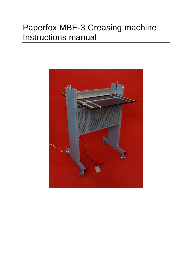### Paperfox MBE-3 Creasing machine Instructions manual

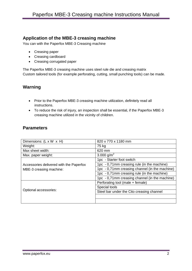#### **Application of the MBE-3 creasing machine**

You can with the Paperfox MBE-3 Creasing machine

- Creasing paper
- Creasing cardboard
- Creasing corrugated paper

The Paperfox MBE-3 creasing machine uses steel rule die and creasing matrix Custom tailored tools (for example perforating, cutting, small punching tools) can be made.

#### **Warning**

- Prior to the Paperfox MBE-3 creasing machine utilization, definitely read all instructions.
- To reduce the risk of injury, an inspection shall be essential, if the Paperfox MBE-3 creasing machine utilized in the vicinity of children.

#### **Parameters**

| Dimensions: $(L \times W \times H)$                                | 820 x 770 x 1180 mm                            |
|--------------------------------------------------------------------|------------------------------------------------|
| Weight:                                                            | 75 kg                                          |
| Max sheet width:                                                   | 620 mm                                         |
| Max. paper weight:                                                 | 3.000 g/m <sup>2</sup>                         |
| Accessories delivered with the Paperfox<br>MBE-3 creasing machine: | 1pc - Starter foot switch                      |
|                                                                    | 1pc - 0,71mm creasing rule (in the machine)    |
|                                                                    | 1pc - 0,71mm creasing channel (in the machine) |
|                                                                    | 1pc - 0,71mm creasing rule (in the machine)    |
|                                                                    | 1pc - 0,71mm creasing channel (in the machine) |
| Optional accessories:                                              | Perforating tool (male + female)               |
|                                                                    | Special tools                                  |
|                                                                    | Steel bar under the Cito creasing channel      |
|                                                                    |                                                |
|                                                                    |                                                |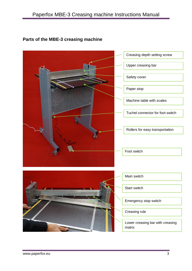## Creasing depth setting screw Upper creasing bar Safety cover Paper stop Machine table with scales Tuchel connector for foot switch Foot switch Rollers for easy transportation Main switch Start switch Emergency stop switch Creasing rule Lower creasing bar with creasing matrix

#### **Parts of the MBE-3 creasing machine**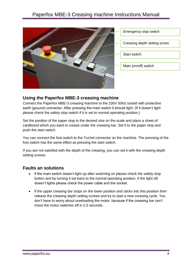

Emergency stop switch Creasing depth setting screw Start switch Main (on/off) switch

#### **Using the Paperfox MBE-3 creasing machine**

Connect the Paperfox MBE-3 creasing machine to the 230V 50Hz socket with protective earth (ground) connector. After pressing the main switch it should light. (If it doesn't light please check the safety stop switch if it is set to normal operating position.)

Set the position of the paper stop to the desired size on the scale and place a sheet of cardboard which you want to crease under the creasing bar. Set it to the paper stop and push the start switch.

You can connect the foot switch to the Tuchel connector on the machine. The pressing of the foot switch has the same effect as pressing the start switch.

If you are not satisfied with the depth of the creasing, you can set it with the creasing depth setting screws.

#### **Faults an solutions**

- If the main switch doesn't light up after switching on please check the safety stop button and by turning it set back to the normal operating position. If the light sill doesn't lights please check the power cable and the socket.
- If the upper creasing bar stops on the lower position and sticks into this position then release the creasing depth setting screws and try to start a new creasing cycle. You don't have to worry about overloading the motor, because if the creasing bar can't move the motor switches off in 2.5 seconds.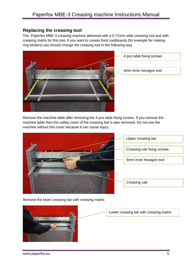#### **Replacing the creasing tool**

The Paperfox MBE-3 creasing machine delivered with a 0.71mm wide creasing tool and with creasing matrix for this tool. If you want to crease thick cardboards (for example for making ring binders) you should change the creasing tool in the following way.



4 pcs table fixing screws

4mm inner hexagon tool

Remove the machine table after removing the 4 pcs table fixing screws. If you remove the machine table then the safety cover of the creasing bar is also removed. Do not use the machine without this cover because it can cause injury.



Remove the lower creasing bar with creasing matrix.

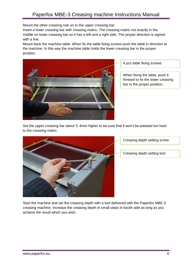Mount the other creasing rule on to the upper creasing bar.

Insert a lower creasing bar with creasing matrix. The creasing matrix not exactly in the middle on lower creasing bar so it has a left and a right side. The proper direction is signed with a line.

Mount back the machine table. When fix the table fixing screws push the table in direction to the machine. In this way the machine table holds the lower creasing bar in the proper position.



4 pcs table fixing screws

When fixing the table, push it forward to fix the lower creasing bar in the proper position.

Set the upper creasing bar about 3..4mm higher to be sure that it won't be pressed too hard to the creasing matrix.



Creasing depth setting screw

Creasing depth setting tool

Start the machine and set the creasing depth with a tool delivered with the Paperfox MBE-3 creasing machine. Increase the creasing depth in small steps in booth side as long as you achieve the result which you wish.